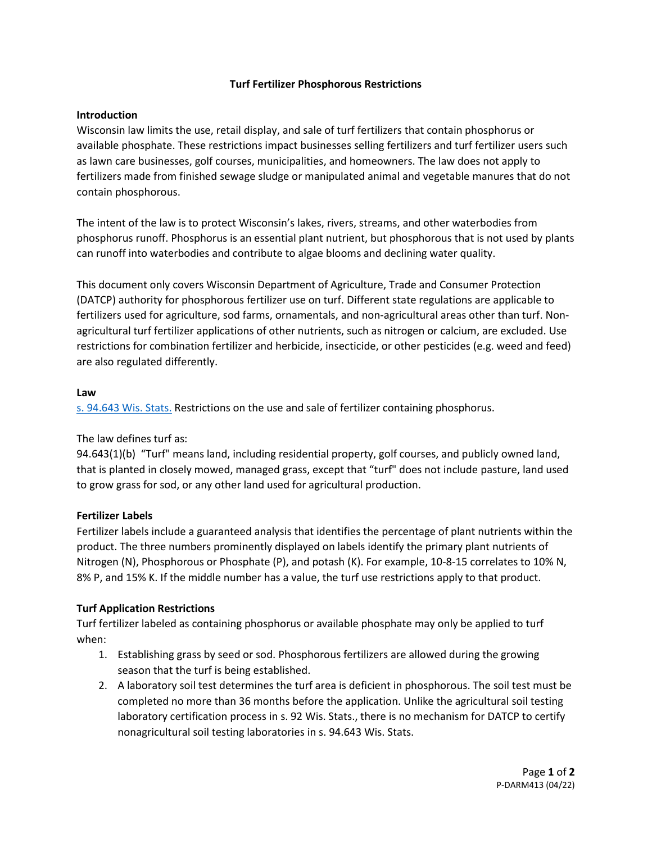# **Turf Fertilizer Phosphorous Restrictions**

## **Introduction**

Wisconsin law limits the use, retail display, and sale of turf fertilizers that contain phosphorus or available phosphate. These restrictions impact businesses selling fertilizers and turf fertilizer users such as lawn care businesses, golf courses, municipalities, and homeowners. The law does not apply to fertilizers made from finished sewage sludge or manipulated animal and vegetable manures that do not contain phosphorous.

The intent of the law is to protect Wisconsin's lakes, rivers, streams, and other waterbodies from phosphorus runoff. Phosphorus is an essential plant nutrient, but phosphorous that is not used by plants can runoff into waterbodies and contribute to algae blooms and declining water quality.

This document only covers Wisconsin Department of Agriculture, Trade and Consumer Protection (DATCP) authority for phosphorous fertilizer use on turf. Different state regulations are applicable to fertilizers used for agriculture, sod farms, ornamentals, and non-agricultural areas other than turf. Nonagricultural turf fertilizer applications of other nutrients, such as nitrogen or calcium, are excluded. Use restrictions for combination fertilizer and herbicide, insecticide, or other pesticides (e.g. weed and feed) are also regulated differently.

### **Law**

[s. 94.643 Wis. Stats.](https://docs.legis.wisconsin.gov/document/statutes/94.643) Restrictions on the use and sale of fertilizer containing phosphorus.

The law defines turf as:

94.643(1)(b) "Turf" means land, including residential property, golf courses, and publicly owned land, that is planted in closely mowed, managed grass, except that "turf" does not include pasture, land used to grow grass for sod, or any other land used for agricultural production.

### **Fertilizer Labels**

Fertilizer labels include a guaranteed analysis that identifies the percentage of plant nutrients within the product. The three numbers prominently displayed on labels identify the primary plant nutrients of Nitrogen (N), Phosphorous or Phosphate (P), and potash (K). For example, 10-8-15 correlates to 10% N, 8% P, and 15% K. If the middle number has a value, the turf use restrictions apply to that product.

### **Turf Application Restrictions**

Turf fertilizer labeled as containing phosphorus or available phosphate may only be applied to turf when:

- 1. Establishing grass by seed or sod. Phosphorous fertilizers are allowed during the growing season that the turf is being established.
- 2. A laboratory soil test determines the turf area is deficient in phosphorous. The soil test must be completed no more than 36 months before the application. Unlike the agricultural soil testing laboratory certification process in s. 92 Wis. Stats., there is no mechanism for DATCP to certify nonagricultural soil testing laboratories in s. 94.643 Wis. Stats.